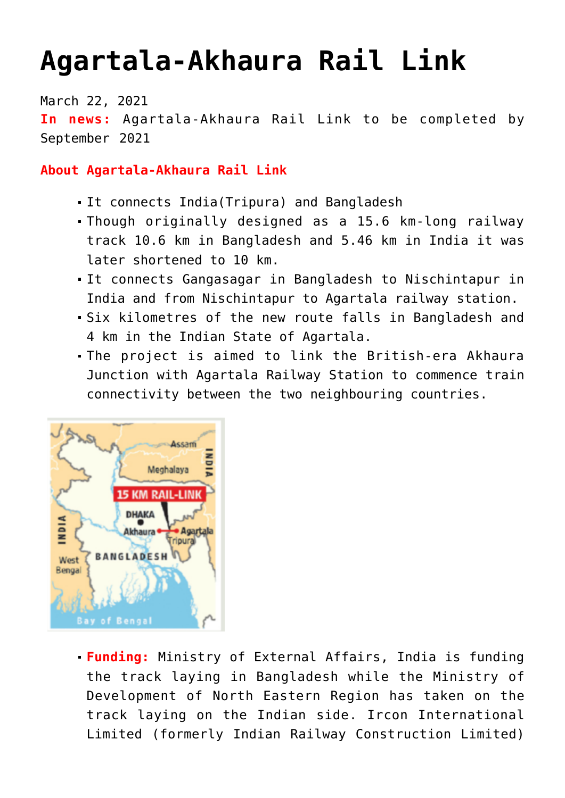## **[Agartala-Akhaura Rail Link](https://journalsofindia.com/agartala-akhaura-rail-link/)**

March 22, 2021

**In news:** Agartala-Akhaura Rail Link to be completed by September 2021

## **About Agartala-Akhaura Rail Link**

- It connects India(Tripura) and Bangladesh
- Though originally designed as a 15.6 km-long railway track 10.6 km in Bangladesh and 5.46 km in India it was later shortened to 10 km.
- It connects Gangasagar in Bangladesh to Nischintapur in India and from Nischintapur to Agartala railway station.
- Six kilometres of the new route falls in Bangladesh and 4 km in the Indian State of Agartala.
- The project is aimed to link the British-era Akhaura Junction with Agartala Railway Station to commence train connectivity between the two neighbouring countries.



**Funding:** Ministry of External Affairs, India is funding the track laying in Bangladesh while the Ministry of Development of North Eastern Region has taken on the track laying on the Indian side. Ircon International Limited (formerly Indian Railway Construction Limited)